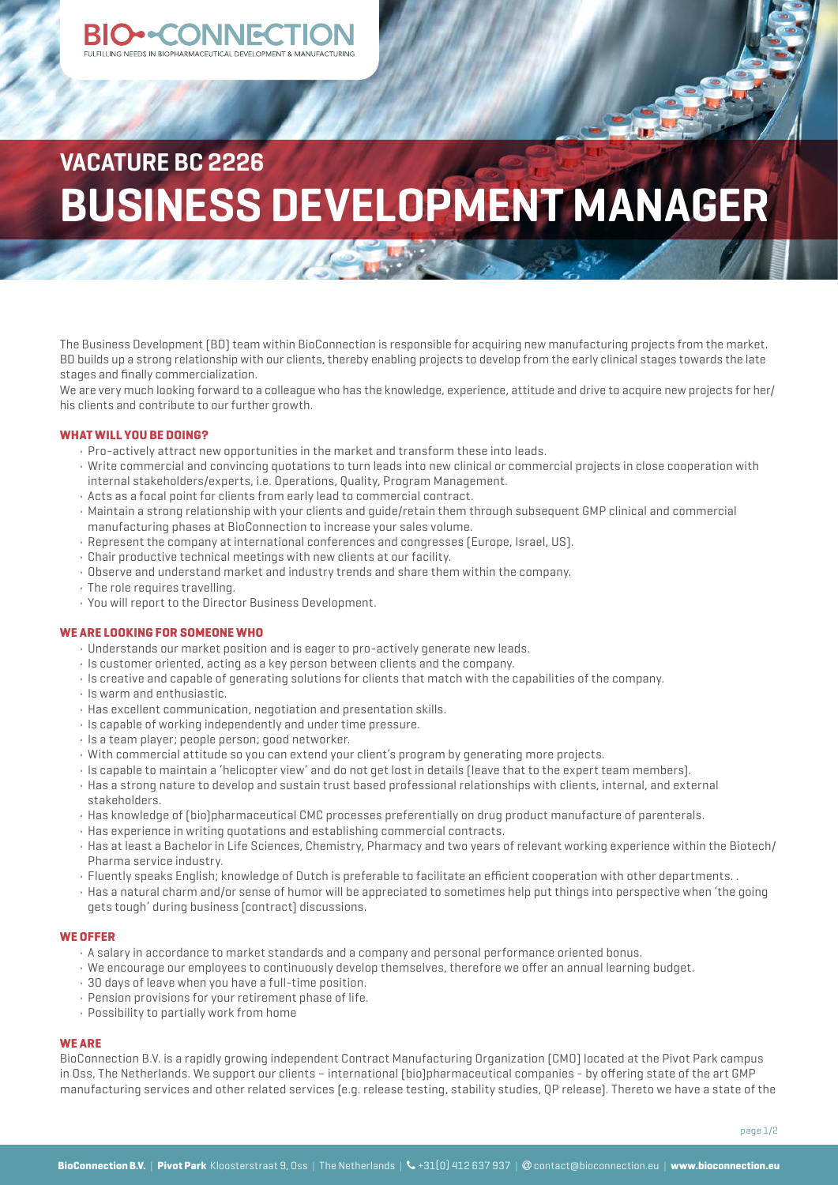# **VACATURE BC 2226 BUSINESS DEVELOPMENT MANAGER**

The Business Development (BD) team within BioConnection is responsible for acquiring new manufacturing projects from the market. BD builds up a strong relationship with our clients, thereby enabling projects to develop from the early clinical stages towards the late stages and finally commercialization.

We are very much looking forward to a colleague who has the knowledge, experience, attitude and drive to acquire new projects for her/ his clients and contribute to our further growth.

### **WHAT WILL YOU BE DOING?**

- Pro-actively attract new opportunities in the market and transform these into leads.
- Write commercial and convincing quotations to turn leads into new clinical or commercial projects in close cooperation with internal stakeholders/experts, i.e. Operations, Quality, Program Management.
- Acts as a focal point for clients from early lead to commercial contract.
- Maintain a strong relationship with your clients and guide/retain them through subsequent GMP clinical and commercial manufacturing phases at BioConnection to increase your sales volume.
- Represent the company at international conferences and congresses (Europe, Israel, US).
- Chair productive technical meetings with new clients at our facility.
- Observe and understand market and industry trends and share them within the company.
- The role requires travelling.
- You will report to the Director Business Development.

#### **WE ARE LOOKING FOR SOMEONE WHO**

- Understands our market position and is eager to pro-actively generate new leads.
- Is customer oriented, acting as a key person between clients and the company.
- Is creative and capable of generating solutions for clients that match with the capabilities of the company.
- Is warm and enthusiastic.
- Has excellent communication, negotiation and presentation skills.
- Is capable of working independently and under time pressure.
- Is a team player; people person; good networker.
- With commercial attitude so you can extend your client's program by generating more projects.
- Is capable to maintain a 'helicopter view' and do not get lost in details (leave that to the expert team members).
- Has a strong nature to develop and sustain trust based professional relationships with clients, internal, and external stakeholders.
- Has knowledge of (bio)pharmaceutical CMC processes preferentially on drug product manufacture of parenterals.
- Has experience in writing quotations and establishing commercial contracts.
- Has at least a Bachelor in Life Sciences, Chemistry, Pharmacy and two years of relevant working experience within the Biotech/ Pharma service industry.
- Fluently speaks English; knowledge of Dutch is preferable to facilitate an efficient cooperation with other departments. .
- Has a natural charm and/or sense of humor will be appreciated to sometimes help put things into perspective when 'the going gets tough' during business (contract) discussions.

#### **WE OFFER**

- A salary in accordance to market standards and a company and personal performance oriented bonus.
- We encourage our employees to continuously develop themselves, therefore we offer an annual learning budget.
- 30 days of leave when you have a full-time position.
- Pension provisions for your retirement phase of life.
- Possibility to partially work from home

## **WE ARE**

BioConnection B.V. is a rapidly growing independent Contract Manufacturing Organization (CMO) located at the Pivot Park campus in Oss, The Netherlands. We support our clients – international (bio)pharmaceutical companies - by offering state of the art GMP manufacturing services and other related services (e.g. release testing, stability studies, QP release). Thereto we have a state of the